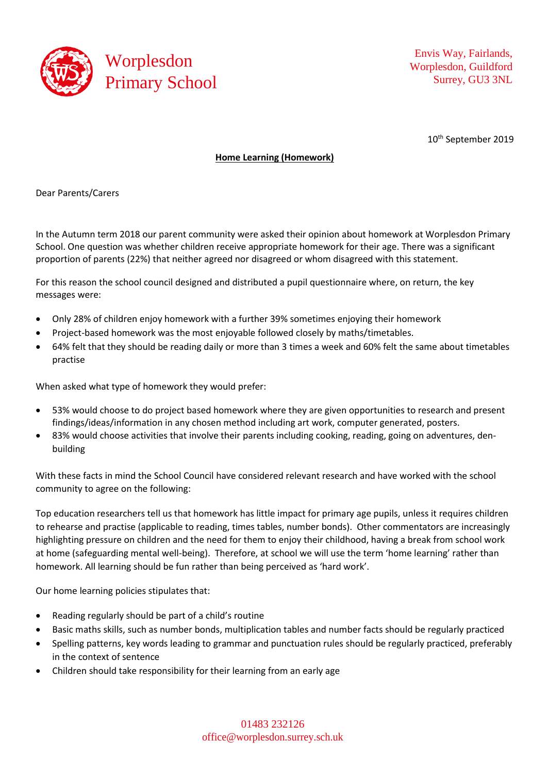

Envis Way, Fairlands, Worplesdon, Guildford Surrey, GU3 3NL

10<sup>th</sup> September 2019

## **Home Learning (Homework)**

Dear Parents/Carers

In the Autumn term 2018 our parent community were asked their opinion about homework at Worplesdon Primary School. One question was whether children receive appropriate homework for their age. There was a significant proportion of parents (22%) that neither agreed nor disagreed or whom disagreed with this statement.

For this reason the school council designed and distributed a pupil questionnaire where, on return, the key messages were:

- Only 28% of children enjoy homework with a further 39% sometimes enjoying their homework
- Project-based homework was the most enjoyable followed closely by maths/timetables.
- 64% felt that they should be reading daily or more than 3 times a week and 60% felt the same about timetables practise

When asked what type of homework they would prefer:

- 53% would choose to do project based homework where they are given opportunities to research and present findings/ideas/information in any chosen method including art work, computer generated, posters.
- 83% would choose activities that involve their parents including cooking, reading, going on adventures, denbuilding

With these facts in mind the School Council have considered relevant research and have worked with the school community to agree on the following:

Top education researchers tell us that homework has little impact for primary age pupils, unless it requires children to rehearse and practise (applicable to reading, times tables, number bonds). Other commentators are increasingly highlighting pressure on children and the need for them to enjoy their childhood, having a break from school work at home (safeguarding mental well-being). Therefore, at school we will use the term 'home learning' rather than homework. All learning should be fun rather than being perceived as 'hard work'.

Our home learning policies stipulates that:

- Reading regularly should be part of a child's routine
- Basic maths skills, such as number bonds, multiplication tables and number facts should be regularly practiced
- Spelling patterns, key words leading to grammar and punctuation rules should be regularly practiced, preferably in the context of sentence
- Children should take responsibility for their learning from an early age